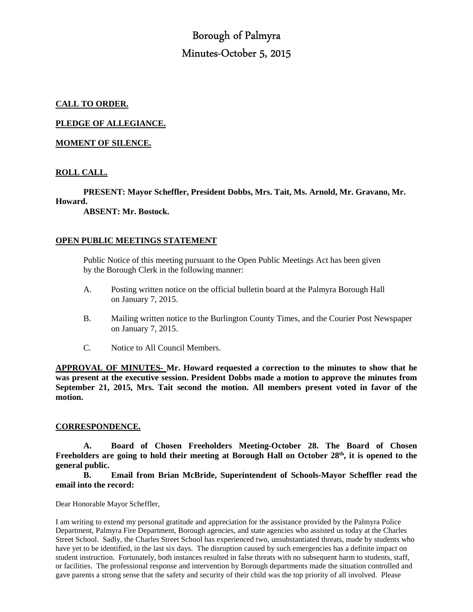# Borough of Palmyra Minutes-October 5, 2015

# **CALL TO ORDER.**

**PLEDGE OF ALLEGIANCE.** 

## **MOMENT OF SILENCE.**

# **ROLL CALL.**

 **PRESENT: Mayor Scheffler, President Dobbs, Mrs. Tait, Ms. Arnold, Mr. Gravano, Mr.** 

## **Howard.**

 **ABSENT: Mr. Bostock.** 

## **OPEN PUBLIC MEETINGS STATEMENT**

 Public Notice of this meeting pursuant to the Open Public Meetings Act has been given by the Borough Clerk in the following manner:

- A. Posting written notice on the official bulletin board at the Palmyra Borough Hall on January 7, 2015.
- B. Mailing written notice to the Burlington County Times, and the Courier Post Newspaper on January 7, 2015.
- C. Notice to All Council Members.

**APPROVAL OF MINUTES- Mr. Howard requested a correction to the minutes to show that he was present at the executive session. President Dobbs made a motion to approve the minutes from September 21, 2015, Mrs. Tait second the motion. All members present voted in favor of the motion.** 

#### **CORRESPONDENCE.**

 **A. Board of Chosen Freeholders Meeting-October 28. The Board of Chosen Freeholders are going to hold their meeting at Borough Hall on October 28th, it is opened to the general public.** 

**B. Email from Brian McBride, Superintendent of Schools-Mayor Scheffler read the email into the record:** 

Dear Honorable Mayor Scheffler,

I am writing to extend my personal gratitude and appreciation for the assistance provided by the Palmyra Police Department, Palmyra Fire Department, Borough agencies, and state agencies who assisted us today at the Charles Street School. Sadly, the Charles Street School has experienced two, unsubstantiated threats, made by students who have yet to be identified, in the last six days. The disruption caused by such emergencies has a definite impact on student instruction. Fortunately, both instances resulted in false threats with no subsequent harm to students, staff, or facilities. The professional response and intervention by Borough departments made the situation controlled and gave parents a strong sense that the safety and security of their child was the top priority of all involved. Please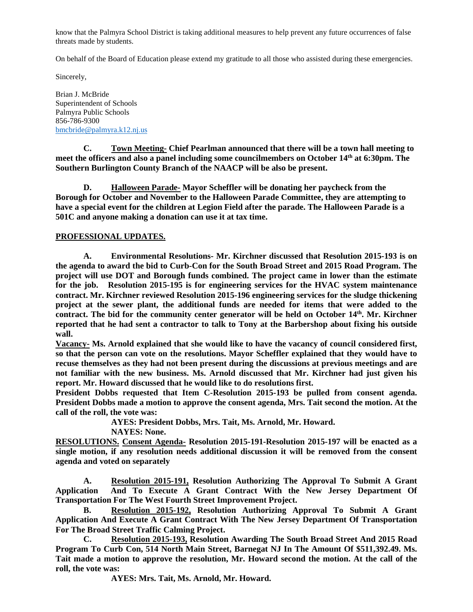know that the Palmyra School District is taking additional measures to help prevent any future occurrences of false threats made by students.

On behalf of the Board of Education please extend my gratitude to all those who assisted during these emergencies.

Sincerely,

Brian J. McBride Superintendent of Schools Palmyra Public Schools 856-786-9300 bmcbride@palmyra.k12.nj.us

**C. Town Meeting- Chief Pearlman announced that there will be a town hall meeting to meet the officers and also a panel including some councilmembers on October 14th at 6:30pm. The Southern Burlington County Branch of the NAACP will be also be present.** 

 **D. Halloween Parade- Mayor Scheffler will be donating her paycheck from the Borough for October and November to the Halloween Parade Committee, they are attempting to have a special event for the children at Legion Field after the parade. The Halloween Parade is a 501C and anyone making a donation can use it at tax time.** 

# **PROFESSIONAL UPDATES.**

 **A. Environmental Resolutions- Mr. Kirchner discussed that Resolution 2015-193 is on the agenda to award the bid to Curb-Con for the South Broad Street and 2015 Road Program. The project will use DOT and Borough funds combined. The project came in lower than the estimate for the job. Resolution 2015-195 is for engineering services for the HVAC system maintenance contract. Mr. Kirchner reviewed Resolution 2015-196 engineering services for the sludge thickening project at the sewer plant, the additional funds are needed for items that were added to the contract. The bid for the community center generator will be held on October 14th. Mr. Kirchner reported that he had sent a contractor to talk to Tony at the Barbershop about fixing his outside wall.** 

**Vacancy- Ms. Arnold explained that she would like to have the vacancy of council considered first, so that the person can vote on the resolutions. Mayor Scheffler explained that they would have to recuse themselves as they had not been present during the discussions at previous meetings and are not familiar with the new business. Ms. Arnold discussed that Mr. Kirchner had just given his report. Mr. Howard discussed that he would like to do resolutions first.** 

**President Dobbs requested that Item C-Resolution 2015-193 be pulled from consent agenda. President Dobbs made a motion to approve the consent agenda, Mrs. Tait second the motion. At the call of the roll, the vote was:** 

 **AYES: President Dobbs, Mrs. Tait, Ms. Arnold, Mr. Howard.** 

 **NAYES: None.** 

**RESOLUTIONS. Consent Agenda- Resolution 2015-191-Resolution 2015-197 will be enacted as a single motion, if any resolution needs additional discussion it will be removed from the consent agenda and voted on separately** 

 **A. Resolution 2015-191, Resolution Authorizing The Approval To Submit A Grant Application And To Execute A Grant Contract With the New Jersey Department Of Transportation For The West Fourth Street Improvement Project.** 

 **B. Resolution 2015-192, Resolution Authorizing Approval To Submit A Grant Application And Execute A Grant Contract With The New Jersey Department Of Transportation For The Broad Street Traffic Calming Project.** 

 **C. Resolution 2015-193, Resolution Awarding The South Broad Street And 2015 Road Program To Curb Con, 514 North Main Street, Barnegat NJ In The Amount Of \$511,392.49. Ms. Tait made a motion to approve the resolution, Mr. Howard second the motion. At the call of the roll, the vote was:** 

 **AYES: Mrs. Tait, Ms. Arnold, Mr. Howard.**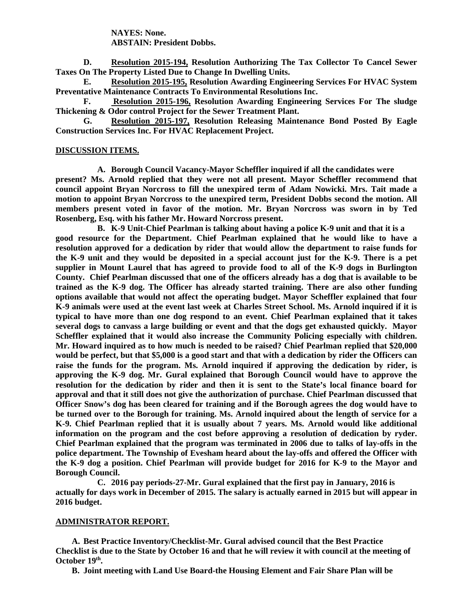**NAYES: None. ABSTAIN: President Dobbs.** 

 **D. Resolution 2015-194, Resolution Authorizing The Tax Collector To Cancel Sewer Taxes On The Property Listed Due to Change In Dwelling Units.** 

 **E. Resolution 2015-195, Resolution Awarding Engineering Services For HVAC System Preventative Maintenance Contracts To Environmental Resolutions Inc.** 

 **F. Resolution 2015-196, Resolution Awarding Engineering Services For The sludge Thickening & Odor control Project for the Sewer Treatment Plant.** 

 **G. Resolution 2015-197, Resolution Releasing Maintenance Bond Posted By Eagle Construction Services Inc. For HVAC Replacement Project.** 

#### **DISCUSSION ITEMS.**

**A. Borough Council Vacancy-Mayor Scheffler inquired if all the candidates were present? Ms. Arnold replied that they were not all present. Mayor Scheffler recommend that council appoint Bryan Norcross to fill the unexpired term of Adam Nowicki. Mrs. Tait made a motion to appoint Bryan Norcross to the unexpired term, President Dobbs second the motion. All members present voted in favor of the motion. Mr. Bryan Norcross was sworn in by Ted Rosenberg, Esq. with his father Mr. Howard Norcross present.** 

**B. K-9 Unit-Chief Pearlman is talking about having a police K-9 unit and that it is a good resource for the Department. Chief Pearlman explained that he would like to have a resolution approved for a dedication by rider that would allow the department to raise funds for the K-9 unit and they would be deposited in a special account just for the K-9. There is a pet supplier in Mount Laurel that has agreed to provide food to all of the K-9 dogs in Burlington County. Chief Pearlman discussed that one of the officers already has a dog that is available to be trained as the K-9 dog. The Officer has already started training. There are also other funding options available that would not affect the operating budget. Mayor Scheffler explained that four K-9 animals were used at the event last week at Charles Street School. Ms. Arnold inquired if it is typical to have more than one dog respond to an event. Chief Pearlman explained that it takes several dogs to canvass a large building or event and that the dogs get exhausted quickly. Mayor Scheffler explained that it would also increase the Community Policing especially with children. Mr. Howard inquired as to how much is needed to be raised? Chief Pearlman replied that \$20,000 would be perfect, but that \$5,000 is a good start and that with a dedication by rider the Officers can raise the funds for the program. Ms. Arnold inquired if approving the dedication by rider, is approving the K-9 dog. Mr. Gural explained that Borough Council would have to approve the resolution for the dedication by rider and then it is sent to the State's local finance board for approval and that it still does not give the authorization of purchase. Chief Pearlman discussed that Officer Snow's dog has been cleared for training and if the Borough agrees the dog would have to be turned over to the Borough for training. Ms. Arnold inquired about the length of service for a K-9. Chief Pearlman replied that it is usually about 7 years. Ms. Arnold would like additional information on the program and the cost before approving a resolution of dedication by ryder. Chief Pearlman explained that the program was terminated in 2006 due to talks of lay-offs in the police department. The Township of Evesham heard about the lay-offs and offered the Officer with the K-9 dog a position. Chief Pearlman will provide budget for 2016 for K-9 to the Mayor and Borough Council.** 

**C. 2016 pay periods-27-Mr. Gural explained that the first pay in January, 2016 is actually for days work in December of 2015. The salary is actually earned in 2015 but will appear in 2016 budget.** 

#### **ADMINISTRATOR REPORT.**

**A. Best Practice Inventory/Checklist-Mr. Gural advised council that the Best Practice Checklist is due to the State by October 16 and that he will review it with council at the meeting of October 19th .** 

**B. Joint meeting with Land Use Board-the Housing Element and Fair Share Plan will be**